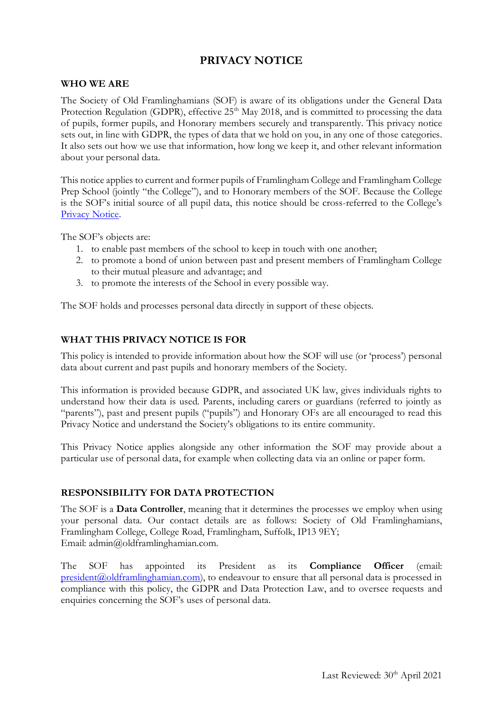# **PRIVACY NOTICE**

#### **WHO WE ARE**

The Society of Old Framlinghamians (SOF) is aware of its obligations under the General Data Protection Regulation (GDPR), effective 25<sup>th</sup> May 2018, and is committed to processing the data of pupils, former pupils, and Honorary members securely and transparently. This privacy notice sets out, in line with GDPR, the types of data that we hold on you, in any one of those categories. It also sets out how we use that information, how long we keep it, and other relevant information about your personal data.

This notice applies to current and former pupils of Framlingham College and Framlingham College Prep School (jointly "the College"), and to Honorary members of the SOF. Because the College is the SOF's initial source of all pupil data, this notice should be cross-referred to the College's [Privacy Notice.](https://www.framlinghamcollege.co.uk/privacy/)

The SOF's objects are:

- 1. to enable past members of the school to keep in touch with one another;
- 2. to promote a bond of union between past and present members of Framlingham College to their mutual pleasure and advantage; and
- 3. to promote the interests of the School in every possible way.

The SOF holds and processes personal data directly in support of these objects.

## **WHAT THIS PRIVACY NOTICE IS FOR**

This policy is intended to provide information about how the SOF will use (or 'process') personal data about current and past pupils and honorary members of the Society.

This information is provided because GDPR, and associated UK law, gives individuals rights to understand how their data is used. Parents, including carers or guardians (referred to jointly as "parents"), past and present pupils ("pupils") and Honorary OFs are all encouraged to read this Privacy Notice and understand the Society's obligations to its entire community.

This Privacy Notice applies alongside any other information the SOF may provide about a particular use of personal data, for example when collecting data via an online or paper form.

### **RESPONSIBILITY FOR DATA PROTECTION**

The SOF is a **Data Controller**, meaning that it determines the processes we employ when using your personal data. Our contact details are as follows: Society of Old Framlinghamians, Framlingham College, College Road, Framlingham, Suffolk, IP13 9EY; Email: admin@oldframlinghamian.com.

The SOF has appointed its President as its **Compliance Officer** (email: [president@oldframlinghamian.com\)](mailto:president@oldframlinghamian.com), to endeavour to ensure that all personal data is processed in compliance with this policy, the GDPR and Data Protection Law, and to oversee requests and enquiries concerning the SOF's uses of personal data.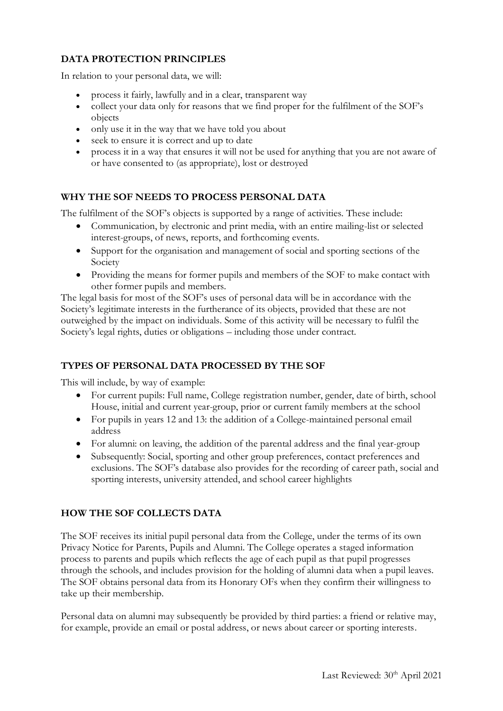## **DATA PROTECTION PRINCIPLES**

In relation to your personal data, we will:

- process it fairly, lawfully and in a clear, transparent way
- collect your data only for reasons that we find proper for the fulfilment of the SOF's objects
- only use it in the way that we have told you about
- seek to ensure it is correct and up to date
- process it in a way that ensures it will not be used for anything that you are not aware of or have consented to (as appropriate), lost or destroyed

### **WHY THE SOF NEEDS TO PROCESS PERSONAL DATA**

The fulfilment of the SOF's objects is supported by a range of activities. These include:

- Communication, by electronic and print media, with an entire mailing-list or selected interest-groups, of news, reports, and forthcoming events.
- Support for the organisation and management of social and sporting sections of the Society
- Providing the means for former pupils and members of the SOF to make contact with other former pupils and members.

The legal basis for most of the SOF's uses of personal data will be in accordance with the Society's legitimate interests in the furtherance of its objects, provided that these are not outweighed by the impact on individuals. Some of this activity will be necessary to fulfil the Society's legal rights, duties or obligations – including those under contract.

### **TYPES OF PERSONAL DATA PROCESSED BY THE SOF**

This will include, by way of example:

- For current pupils: Full name, College registration number, gender, date of birth, school House, initial and current year-group, prior or current family members at the school
- For pupils in years 12 and 13: the addition of a College-maintained personal email address
- For alumni: on leaving, the addition of the parental address and the final year-group
- Subsequently: Social, sporting and other group preferences, contact preferences and exclusions. The SOF's database also provides for the recording of career path, social and sporting interests, university attended, and school career highlights

### **HOW THE SOF COLLECTS DATA**

The SOF receives its initial pupil personal data from the College, under the terms of its own Privacy Notice for Parents, Pupils and Alumni. The College operates a staged information process to parents and pupils which reflects the age of each pupil as that pupil progresses through the schools, and includes provision for the holding of alumni data when a pupil leaves. The SOF obtains personal data from its Honorary OFs when they confirm their willingness to take up their membership.

Personal data on alumni may subsequently be provided by third parties: a friend or relative may, for example, provide an email or postal address, or news about career or sporting interests.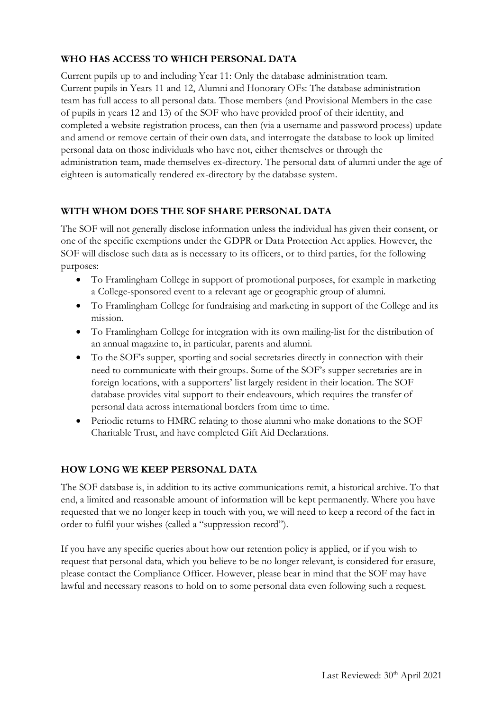# **WHO HAS ACCESS TO WHICH PERSONAL DATA**

Current pupils up to and including Year 11: Only the database administration team. Current pupils in Years 11 and 12, Alumni and Honorary OFs: The database administration team has full access to all personal data. Those members (and Provisional Members in the case of pupils in years 12 and 13) of the SOF who have provided proof of their identity, and completed a website registration process, can then (via a username and password process) update and amend or remove certain of their own data, and interrogate the database to look up limited personal data on those individuals who have not, either themselves or through the administration team, made themselves ex-directory. The personal data of alumni under the age of eighteen is automatically rendered ex-directory by the database system.

### **WITH WHOM DOES THE SOF SHARE PERSONAL DATA**

The SOF will not generally disclose information unless the individual has given their consent, or one of the specific exemptions under the GDPR or Data Protection Act applies. However, the SOF will disclose such data as is necessary to its officers, or to third parties, for the following purposes:

- To Framlingham College in support of promotional purposes, for example in marketing a College-sponsored event to a relevant age or geographic group of alumni.
- To Framlingham College for fundraising and marketing in support of the College and its mission.
- To Framlingham College for integration with its own mailing-list for the distribution of an annual magazine to, in particular, parents and alumni.
- To the SOF's supper, sporting and social secretaries directly in connection with their need to communicate with their groups. Some of the SOF's supper secretaries are in foreign locations, with a supporters' list largely resident in their location. The SOF database provides vital support to their endeavours, which requires the transfer of personal data across international borders from time to time.
- Periodic returns to HMRC relating to those alumni who make donations to the SOF Charitable Trust, and have completed Gift Aid Declarations.

# **HOW LONG WE KEEP PERSONAL DATA**

The SOF database is, in addition to its active communications remit, a historical archive. To that end, a limited and reasonable amount of information will be kept permanently. Where you have requested that we no longer keep in touch with you, we will need to keep a record of the fact in order to fulfil your wishes (called a "suppression record").

If you have any specific queries about how our retention policy is applied, or if you wish to request that personal data, which you believe to be no longer relevant, is considered for erasure, please contact the Compliance Officer. However, please bear in mind that the SOF may have lawful and necessary reasons to hold on to some personal data even following such a request.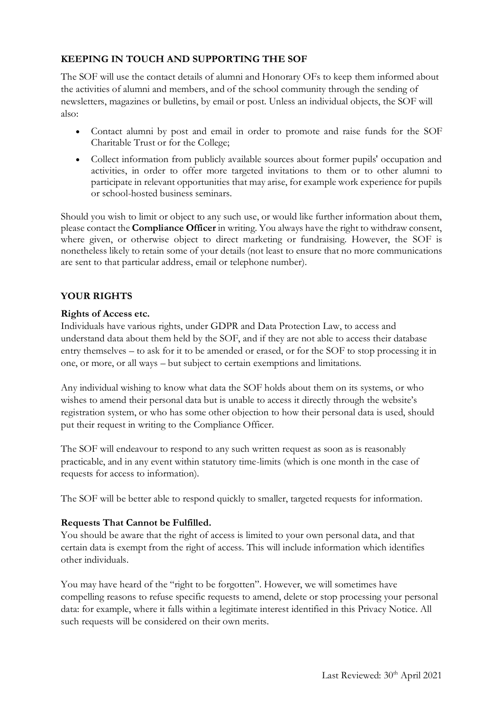# **KEEPING IN TOUCH AND SUPPORTING THE SOF**

The SOF will use the contact details of alumni and Honorary OFs to keep them informed about the activities of alumni and members, and of the school community through the sending of newsletters, magazines or bulletins, by email or post. Unless an individual objects, the SOF will also:

- Contact alumni by post and email in order to promote and raise funds for the SOF Charitable Trust or for the College;
- Collect information from publicly available sources about former pupils' occupation and activities, in order to offer more targeted invitations to them or to other alumni to participate in relevant opportunities that may arise, for example work experience for pupils or school-hosted business seminars.

Should you wish to limit or object to any such use, or would like further information about them, please contact the **Compliance Officer** in writing. You always have the right to withdraw consent, where given, or otherwise object to direct marketing or fundraising. However, the SOF is nonetheless likely to retain some of your details (not least to ensure that no more communications are sent to that particular address, email or telephone number).

## **YOUR RIGHTS**

#### **Rights of Access etc.**

Individuals have various rights, under GDPR and Data Protection Law, to access and understand data about them held by the SOF, and if they are not able to access their database entry themselves – to ask for it to be amended or erased, or for the SOF to stop processing it in one, or more, or all ways – but subject to certain exemptions and limitations.

Any individual wishing to know what data the SOF holds about them on its systems, or who wishes to amend their personal data but is unable to access it directly through the website's registration system, or who has some other objection to how their personal data is used, should put their request in writing to the Compliance Officer.

The SOF will endeavour to respond to any such written request as soon as is reasonably practicable, and in any event within statutory time-limits (which is one month in the case of requests for access to information).

The SOF will be better able to respond quickly to smaller, targeted requests for information.

#### **Requests That Cannot be Fulfilled.**

You should be aware that the right of access is limited to your own personal data, and that certain data is exempt from the right of access. This will include information which identifies other individuals.

You may have heard of the "right to be forgotten". However, we will sometimes have compelling reasons to refuse specific requests to amend, delete or stop processing your personal data: for example, where it falls within a legitimate interest identified in this Privacy Notice. All such requests will be considered on their own merits.